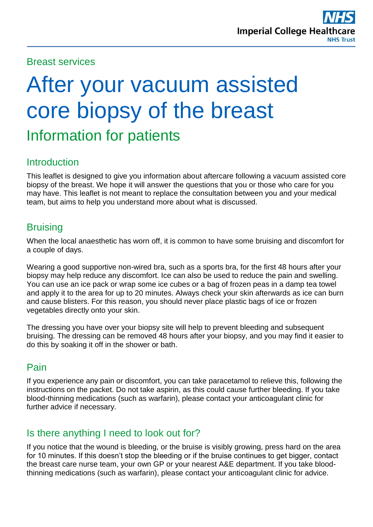#### Breast services

# After your vacuum assisted core biopsy of the breast Information for patients

#### Introduction

This leaflet is designed to give you information about aftercare following a vacuum assisted core biopsy of the breast. We hope it will answer the questions that you or those who care for you may have. This leaflet is not meant to replace the consultation between you and your medical team, but aims to help you understand more about what is discussed.

#### **Bruising**

When the local anaesthetic has worn off, it is common to have some bruising and discomfort for a couple of days.

Wearing a good supportive non-wired bra, such as a sports bra, for the first 48 hours after your biopsy may help reduce any discomfort. Ice can also be used to reduce the pain and swelling. You can use an ice pack or wrap some ice cubes or a bag of frozen peas in a damp tea towel and apply it to the area for up to 20 minutes. Always check your skin afterwards as ice can burn and cause blisters. For this reason, you should never place plastic bags of ice or frozen vegetables directly onto your skin.

The dressing you have over your biopsy site will help to prevent bleeding and subsequent bruising. The dressing can be removed 48 hours after your biopsy, and you may find it easier to do this by soaking it off in the shower or bath.

# Pain

If you experience any pain or discomfort, you can take paracetamol to relieve this, following the instructions on the packet. Do not take aspirin, as this could cause further bleeding. If you take blood-thinning medications (such as warfarin), please contact your anticoagulant clinic for further advice if necessary.

# Is there anything I need to look out for?

If you notice that the wound is bleeding, or the bruise is visibly growing, press hard on the area for 10 minutes. If this doesn't stop the bleeding or if the bruise continues to get bigger, contact the breast care nurse team, your own GP or your nearest A&E department. If you take bloodthinning medications (such as warfarin), please contact your anticoagulant clinic for advice.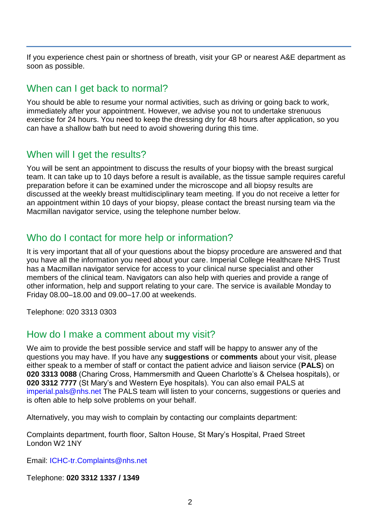If you experience chest pain or shortness of breath, visit your GP or nearest A&E department as soon as possible.

#### When can I get back to normal?

You should be able to resume your normal activities, such as driving or going back to work, immediately after your appointment. However, we advise you not to undertake strenuous exercise for 24 hours. You need to keep the dressing dry for 48 hours after application, so you can have a shallow bath but need to avoid showering during this time.

# When will I get the results?

You will be sent an appointment to discuss the results of your biopsy with the breast surgical team. It can take up to 10 days before a result is available, as the tissue sample requires careful preparation before it can be examined under the microscope and all biopsy results are discussed at the weekly breast multidisciplinary team meeting. If you do not receive a letter for an appointment within 10 days of your biopsy, please contact the breast nursing team via the Macmillan navigator service, using the telephone number below.

# Who do I contact for more help or information?

It is very important that all of your questions about the biopsy procedure are answered and that you have all the information you need about your care. Imperial College Healthcare NHS Trust has a Macmillan navigator service for access to your clinical nurse specialist and other members of the clinical team. Navigators can also help with queries and provide a range of other information, help and support relating to your care. The service is available Monday to Friday 08.00–18.00 and 09.00–17.00 at weekends.

Telephone: 020 3313 0303

# How do I make a comment about my visit?

We aim to provide the best possible service and staff will be happy to answer any of the questions you may have. If you have any **suggestions** or **comments** about your visit, please either speak to a member of staff or contact the patient advice and liaison service (**PALS**) on **020 3313 0088** (Charing Cross, Hammersmith and Queen Charlotte's & Chelsea hospitals), or **020 3312 7777** (St Mary's and Western Eye hospitals). You can also email PALS at [imperial.pals@nhs.net](mailto:imperial.pals@nhs.net) The PALS team will listen to your concerns, suggestions or queries and is often able to help solve problems on your behalf.

Alternatively, you may wish to complain by contacting our complaints department:

Complaints department, fourth floor, Salton House, St Mary's Hospital, Praed Street London W2 1NY

Email: [ICHC-tr.Complaints@nhs.net](mailto:ICHC-tr.Complaints@nhs.net)

Telephone: **020 3312 1337 / 1349**